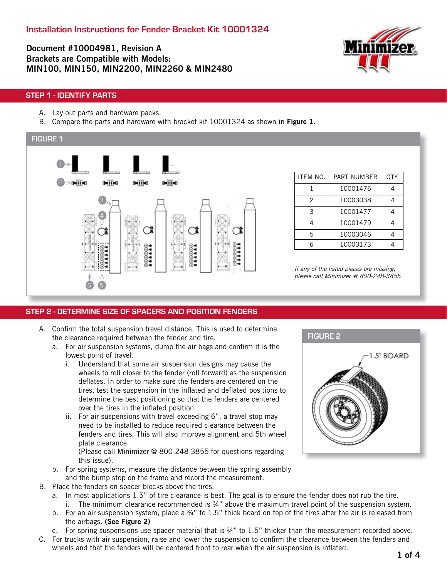Document #10004981, Revision A Brackets are Compatible with Models: MIN100, MIN150, MIN2200, MIN2260 & MIN2480



#### STEP 1 - IDENTIFY PARTS

- A. Lay out parts and hardware packs.
- B. Compare the parts and hardware with bracket kit 10001324 as shown in Figure 1.



#### STEP 2 - DETERMINE SIZE OF SPACERS AND POSITION FENDERS

- A. Confirm the total suspension travel distance. This is used to determine the clearance required between the fender and tire.
	- a. For air suspension systems, dump the air bags and confirm it is the lowest point of travel.
		- i. Understand that some air suspension designs may cause the wheels to roll closer to the fender (roll forward) as the suspension deflates. In order to make sure the fenders are centered on the tires, test the suspension in the inflated and deflated positions to determine the best positioning so that the fenders are centered over the tires in the inflated position.
		- ii. For air suspensions with travel exceeding 6", a travel stop may need to be installed to reduce required clearance between the fenders and tires. This will also improve alignment and 5th wheel plate clearance.

(Please call Minimizer @ 800-248-3855 for questions regarding this issue).

- b. For spring systems, measure the distance between the spring assembly and the bump stop on the frame and record the measurement.
- B. Place the fenders on spacer blocks above the tires.
	- a. In most applications 1.5" of tire clearance is best. The goal is to ensure the fender does not rub the tire. i. The minimum clearance recommended is  $\frac{3}{4}$ " above the maximum travel point of the suspension system.
	- b. For an air suspension system, place a 34" to 1.5" thick board on top of the tires after the air is released from the airbags. (See Figure 2)
	- c. For spring suspensions use spacer material that is  $\frac{3}{4}$ " to 1.5" thicker than the measurement recorded above.
- C. For trucks with air suspension, raise and lower the suspension to confirm the clearance between the fenders and wheels and that the fenders will be centered front to rear when the air suspension is inflated.

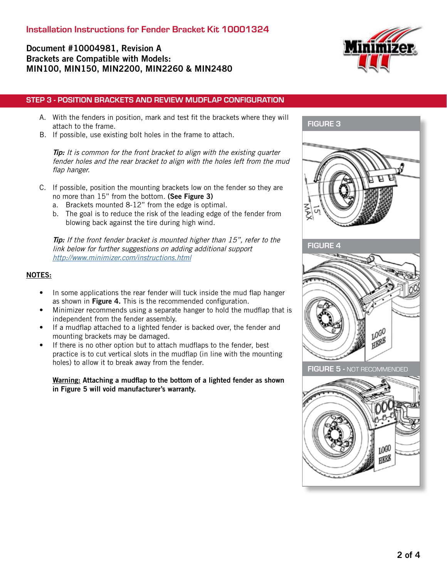## Document #10004981, Revision A Brackets are Compatible with Models: MIN100, MIN150, MIN2200, MIN2260 & MIN2480



- A. With the fenders in position, mark and test fit the brackets where they will attach to the frame.
- B. If possible, use existing bolt holes in the frame to attach.

Tip: It is common for the front bracket to align with the existing quarter fender holes and the rear bracket to align with the holes left from the mud flap hanger.

- C. If possible, position the mounting brackets low on the fender so they are no more than 15" from the bottom. (See Figure 3)
	- a. Brackets mounted 8-12" from the edge is optimal.
	- b. The goal is to reduce the risk of the leading edge of the fender from blowing back against the tire during high wind.

Tip: If the front fender bracket is mounted higher than 15", refer to the link below for further suggestions on adding additional support <http://www.minimizer.com/instructions.html>

#### NOTES:

- In some applications the rear fender will tuck inside the mud flap hanger as shown in Figure 4. This is the recommended configuration.
- Minimizer recommends using a separate hanger to hold the mudflap that is independent from the fender assembly.
- If a mudflap attached to a lighted fender is backed over, the fender and mounting brackets may be damaged.
- If there is no other option but to attach mudflaps to the fender, best practice is to cut vertical slots in the mudflap (in line with the mounting holes) to allow it to break away from the fender.

Warning: Attaching a mudflap to the bottom of a lighted fender as shown in Figure 5 will void manufacturer's warranty.



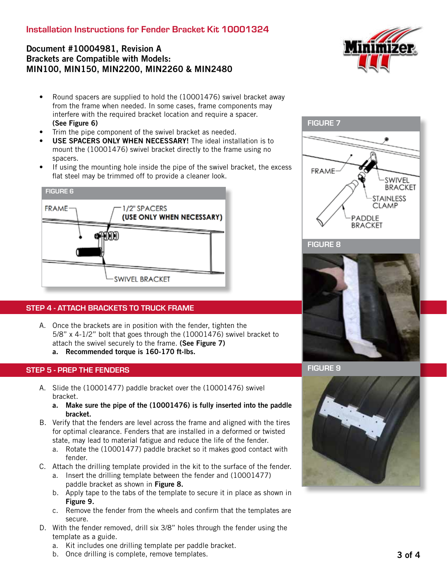## Installation Instructions for Fender Bracket Kit 10001324

## Document #10004981, Revision A Brackets are Compatible with Models: MIN100, MIN150, MIN2200, MIN2260 & MIN2480



- Round spacers are supplied to hold the (10001476) swivel bracket away from the frame when needed. In some cases, frame components may interfere with the required bracket location and require a spacer. (See Figure 6)
- Trim the pipe component of the swivel bracket as needed.
- USE SPACERS ONLY WHEN NECESSARY! The ideal installation is to mount the (10001476) swivel bracket directly to the frame using no spacers.
- If using the mounting hole inside the pipe of the swivel bracket, the excess flat steel may be trimmed off to provide a cleaner look.



#### STEP 4 - ATTACH BRACKETS TO TRUCK FRAME

A. Once the brackets are in position with the fender, tighten the 5/8" x 4-1/2" bolt that goes through the (10001476) swivel bracket to attach the swivel securely to the frame. (See Figure 7) a. Recommended torque is 160-170 ft-lbs.

# STEP 5 - PREP THE FENDERS

- A. Slide the (10001477) paddle bracket over the (10001476) swivel bracket.
	- a. Make sure the pipe of the (10001476) is fully inserted into the paddle bracket.
- B. Verify that the fenders are level across the frame and aligned with the tires for optimal clearance. Fenders that are installed in a deformed or twisted state, may lead to material fatigue and reduce the life of the fender.
	- a. Rotate the (10001477) paddle bracket so it makes good contact with fender.
- C. Attach the drilling template provided in the kit to the surface of the fender.
	- a. Insert the drilling template between the fender and (10001477) paddle bracket as shown in Figure 8.
	- b. Apply tape to the tabs of the template to secure it in place as shown in Figure 9.
	- c. Remove the fender from the wheels and confirm that the templates are secure.
- D. With the fender removed, drill six 3/8" holes through the fender using the template as a guide.
	- a. Kit includes one drilling template per paddle bracket.
	- b. Once drilling is complete, remove templates.